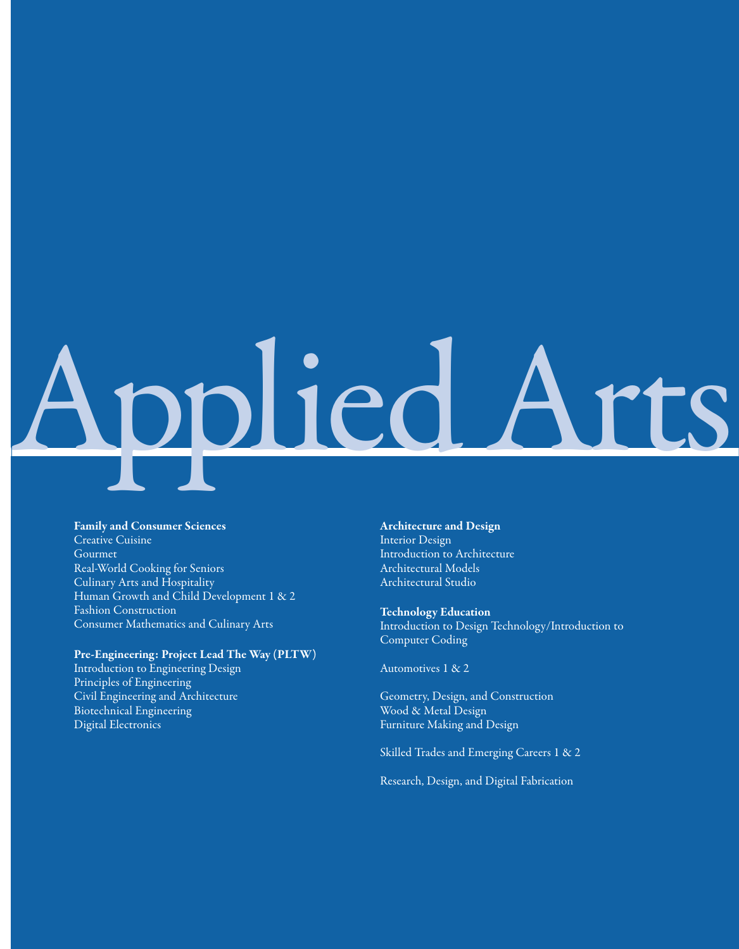# Applied Arts

#### Family and Consumer Sciences

Creative Cuisine Gourmet Real-World Cooking for Seniors Culinary Arts and Hospitality Human Growth and Child Development 1 & 2 Fashion Construction Consumer Mathematics and Culinary Arts

#### Pre-Engineering: Project Lead The Way (PLTW)

Introduction to Engineering Design Principles of Engineering Civil Engineering and Architecture Biotechnical Engineering Digital Electronics

#### Architecture and Design Interior Design Introduction to Architecture Architectural Models Architectural Studio

Technology Education Introduction to Design Technology/Introduction to Computer Coding

Automotives 1 & 2

Geometry, Design, and Construction Wood & Metal Design Furniture Making and Design

Skilled Trades and Emerging Careers 1 & 2

Research, Design, and Digital Fabrication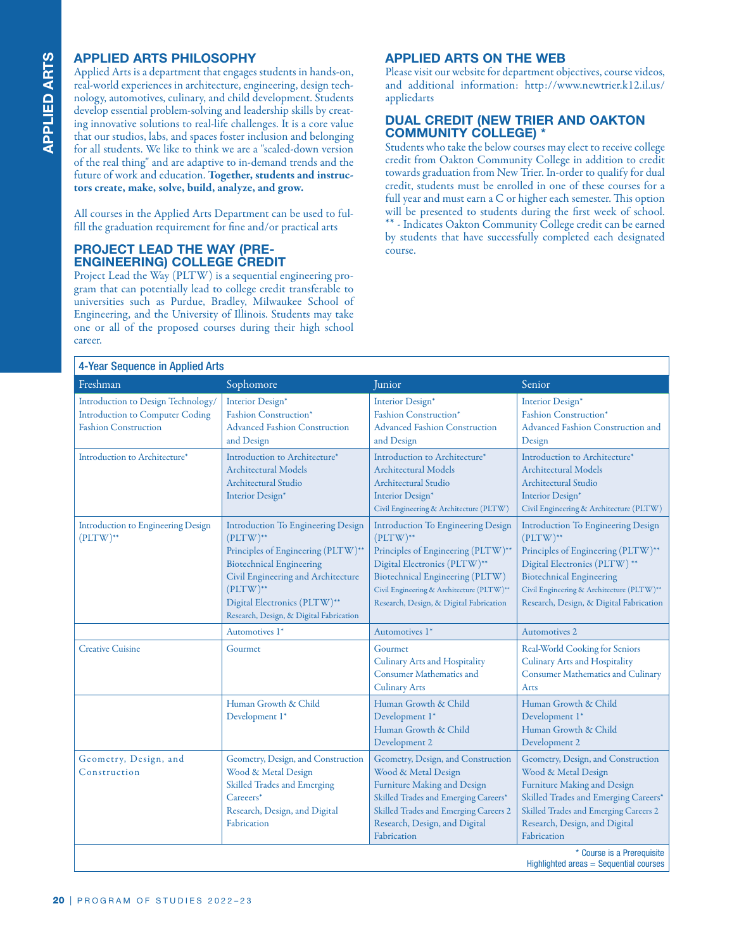#### **APPLIED ARTS PHILOSOPHY**

#### **PROJECT LEAD THE WAY (PRE-ENGINEERING) COLLEGE CREDIT**

#### **APPLIED ARTS ON THE WEB**

#### **DUAL CREDIT (NEW TRIER AND OAKTON COMMUNITY COLLEGE) \***

| <b>APPLIED ARTS PHILOSOPHY</b><br><b>APPLIED ARTS ON THE WEB</b><br>Please visit our website for department objectives, course videos,<br>Applied Arts is a department that engages students in hands-on,<br>and additional information: http://www.newtrier.k12.il.us/<br>real-world experiences in architecture, engineering, design tech-<br>nology, automotives, culinary, and child development. Students<br>appliedarts<br>develop essential problem-solving and leadership skills by creat-<br><b>DUAL CREDIT (NEW TRIER AND OAKTON</b><br>ing innovative solutions to real-life challenges. It is a core value<br><b>COMMUNITY COLLEGE) *</b><br>that our studios, labs, and spaces foster inclusion and belonging<br>Students who take the below courses may elect to receive college<br>for all students. We like to think we are a "scaled-down version<br>credit from Oakton Community College in addition to credit<br>of the real thing" and are adaptive to in-demand trends and the<br>towards graduation from New Trier. In-order to qualify for dual<br>future of work and education. Together, students and instruc-<br>credit, students must be enrolled in one of these courses for a<br>tors create, make, solve, build, analyze, and grow.<br>full year and must earn a C or higher each semester. This option<br>will be presented to students during the first week of school.<br>All courses in the Applied Arts Department can be used to ful-<br>** - Indicates Oakton Community College credit can be earned<br>fill the graduation requirement for fine and/or practical arts<br>by students that have successfully completed each designated<br><b>PROJECT LEAD THE WAY (PRE-</b><br>course.<br><b>ENGINEERING) COLLEGE CREDIT</b><br>Project Lead the Way (PLTW) is a sequential engineering pro-<br>gram that can potentially lead to college credit transferable to<br>universities such as Purdue, Bradley, Milwaukee School of<br>Engineering, and the University of Illinois. Students may take<br>one or all of the proposed courses during their high school<br>career. |                                                                                                                                                                                                                                                                   |                                                                                                                                                                                                                                                           |                                                                                                                                                                                                                                                           |  |
|----------------------------------------------------------------------------------------------------------------------------------------------------------------------------------------------------------------------------------------------------------------------------------------------------------------------------------------------------------------------------------------------------------------------------------------------------------------------------------------------------------------------------------------------------------------------------------------------------------------------------------------------------------------------------------------------------------------------------------------------------------------------------------------------------------------------------------------------------------------------------------------------------------------------------------------------------------------------------------------------------------------------------------------------------------------------------------------------------------------------------------------------------------------------------------------------------------------------------------------------------------------------------------------------------------------------------------------------------------------------------------------------------------------------------------------------------------------------------------------------------------------------------------------------------------------------------------------------------------------------------------------------------------------------------------------------------------------------------------------------------------------------------------------------------------------------------------------------------------------------------------------------------------------------------------------------------------------------------------------------------------------------------------------------------------------------------------------------------------------|-------------------------------------------------------------------------------------------------------------------------------------------------------------------------------------------------------------------------------------------------------------------|-----------------------------------------------------------------------------------------------------------------------------------------------------------------------------------------------------------------------------------------------------------|-----------------------------------------------------------------------------------------------------------------------------------------------------------------------------------------------------------------------------------------------------------|--|
| 4-Year Sequence in Applied Arts                                                                                                                                                                                                                                                                                                                                                                                                                                                                                                                                                                                                                                                                                                                                                                                                                                                                                                                                                                                                                                                                                                                                                                                                                                                                                                                                                                                                                                                                                                                                                                                                                                                                                                                                                                                                                                                                                                                                                                                                                                                                                |                                                                                                                                                                                                                                                                   |                                                                                                                                                                                                                                                           |                                                                                                                                                                                                                                                           |  |
| Freshman                                                                                                                                                                                                                                                                                                                                                                                                                                                                                                                                                                                                                                                                                                                                                                                                                                                                                                                                                                                                                                                                                                                                                                                                                                                                                                                                                                                                                                                                                                                                                                                                                                                                                                                                                                                                                                                                                                                                                                                                                                                                                                       | Sophomore                                                                                                                                                                                                                                                         | Junior                                                                                                                                                                                                                                                    | Senior                                                                                                                                                                                                                                                    |  |
| Introduction to Design Technology/<br><b>Introduction to Computer Coding</b><br><b>Fashion Construction</b>                                                                                                                                                                                                                                                                                                                                                                                                                                                                                                                                                                                                                                                                                                                                                                                                                                                                                                                                                                                                                                                                                                                                                                                                                                                                                                                                                                                                                                                                                                                                                                                                                                                                                                                                                                                                                                                                                                                                                                                                    | Interior Design*<br>Fashion Construction*<br><b>Advanced Fashion Construction</b><br>and Design                                                                                                                                                                   | Interior Design*<br>Fashion Construction*<br><b>Advanced Fashion Construction</b><br>and Design                                                                                                                                                           | Interior Design*<br>Fashion Construction*<br>Advanced Fashion Construction and<br>Design                                                                                                                                                                  |  |
| Introduction to Architecture*                                                                                                                                                                                                                                                                                                                                                                                                                                                                                                                                                                                                                                                                                                                                                                                                                                                                                                                                                                                                                                                                                                                                                                                                                                                                                                                                                                                                                                                                                                                                                                                                                                                                                                                                                                                                                                                                                                                                                                                                                                                                                  | Introduction to Architecture*<br><b>Architectural Models</b><br><b>Architectural Studio</b><br>Interior Design*                                                                                                                                                   | Introduction to Architecture*<br><b>Architectural Models</b><br>Architectural Studio<br>Interior Design*<br>Civil Engineering & Architecture (PLTW)                                                                                                       | Introduction to Architecture*<br><b>Architectural Models</b><br>Architectural Studio<br>Interior Design*<br>Civil Engineering & Architecture (PLTW)                                                                                                       |  |
| Introduction to Engineering Design<br>$(PLTW)$ **                                                                                                                                                                                                                                                                                                                                                                                                                                                                                                                                                                                                                                                                                                                                                                                                                                                                                                                                                                                                                                                                                                                                                                                                                                                                                                                                                                                                                                                                                                                                                                                                                                                                                                                                                                                                                                                                                                                                                                                                                                                              | <b>Introduction To Engineering Design</b><br>$(PLTW)$ **<br>Principles of Engineering (PLTW)**<br><b>Biotechnical Engineering</b><br>Civil Engineering and Architecture<br>$(PLTW)$ **<br>Digital Electronics (PLTW)**<br>Research, Design, & Digital Fabrication | <b>Introduction To Engineering Design</b><br>$(PLTW)$ **<br>Principles of Engineering (PLTW)**<br>Digital Electronics (PLTW)**<br>Biotechnical Engineering (PLTW)<br>Civil Engineering & Architecture (PLTW)**<br>Research, Design, & Digital Fabrication | <b>Introduction To Engineering Design</b><br>$(PLTW)$ **<br>Principles of Engineering (PLTW)**<br>Digital Electronics (PLTW)**<br><b>Biotechnical Engineering</b><br>Civil Engineering & Architecture (PLTW)**<br>Research, Design, & Digital Fabrication |  |
|                                                                                                                                                                                                                                                                                                                                                                                                                                                                                                                                                                                                                                                                                                                                                                                                                                                                                                                                                                                                                                                                                                                                                                                                                                                                                                                                                                                                                                                                                                                                                                                                                                                                                                                                                                                                                                                                                                                                                                                                                                                                                                                | Automotives 1*                                                                                                                                                                                                                                                    | Automotives 1*                                                                                                                                                                                                                                            | <b>Automotives 2</b>                                                                                                                                                                                                                                      |  |
| <b>Creative Cuisine</b>                                                                                                                                                                                                                                                                                                                                                                                                                                                                                                                                                                                                                                                                                                                                                                                                                                                                                                                                                                                                                                                                                                                                                                                                                                                                                                                                                                                                                                                                                                                                                                                                                                                                                                                                                                                                                                                                                                                                                                                                                                                                                        | Gourmet                                                                                                                                                                                                                                                           | Gourmet<br>Culinary Arts and Hospitality<br><b>Consumer Mathematics and</b><br><b>Culinary Arts</b>                                                                                                                                                       | Real-World Cooking for Seniors<br>Culinary Arts and Hospitality<br><b>Consumer Mathematics and Culinary</b><br>Arts                                                                                                                                       |  |
|                                                                                                                                                                                                                                                                                                                                                                                                                                                                                                                                                                                                                                                                                                                                                                                                                                                                                                                                                                                                                                                                                                                                                                                                                                                                                                                                                                                                                                                                                                                                                                                                                                                                                                                                                                                                                                                                                                                                                                                                                                                                                                                | Human Growth & Child<br>Development 1*                                                                                                                                                                                                                            | Human Growth & Child<br>Development 1*<br>Human Growth & Child<br>Development 2                                                                                                                                                                           | Human Growth & Child<br>Development 1*<br>Human Growth & Child<br>Development 2                                                                                                                                                                           |  |
| Geometry, Design, and<br>Construction                                                                                                                                                                                                                                                                                                                                                                                                                                                                                                                                                                                                                                                                                                                                                                                                                                                                                                                                                                                                                                                                                                                                                                                                                                                                                                                                                                                                                                                                                                                                                                                                                                                                                                                                                                                                                                                                                                                                                                                                                                                                          | Geometry, Design, and Construction<br>Wood & Metal Design<br>Skilled Trades and Emerging                                                                                                                                                                          | Geometry, Design, and Construction<br>Wood & Metal Design<br>Furniture Making and Design<br>Skilled Trades and Emerging Careers*                                                                                                                          | Geometry, Design, and Construction<br>Wood & Metal Design<br>Furniture Making and Design<br>Skilled Trades and Emerging Careers*                                                                                                                          |  |
|                                                                                                                                                                                                                                                                                                                                                                                                                                                                                                                                                                                                                                                                                                                                                                                                                                                                                                                                                                                                                                                                                                                                                                                                                                                                                                                                                                                                                                                                                                                                                                                                                                                                                                                                                                                                                                                                                                                                                                                                                                                                                                                | Careeers*<br>Research, Design, and Digital<br>Fabrication                                                                                                                                                                                                         | Skilled Trades and Emerging Careers 2<br>Research, Design, and Digital<br>Fabrication                                                                                                                                                                     | Skilled Trades and Emerging Careers 2<br>Research, Design, and Digital<br>Fabrication                                                                                                                                                                     |  |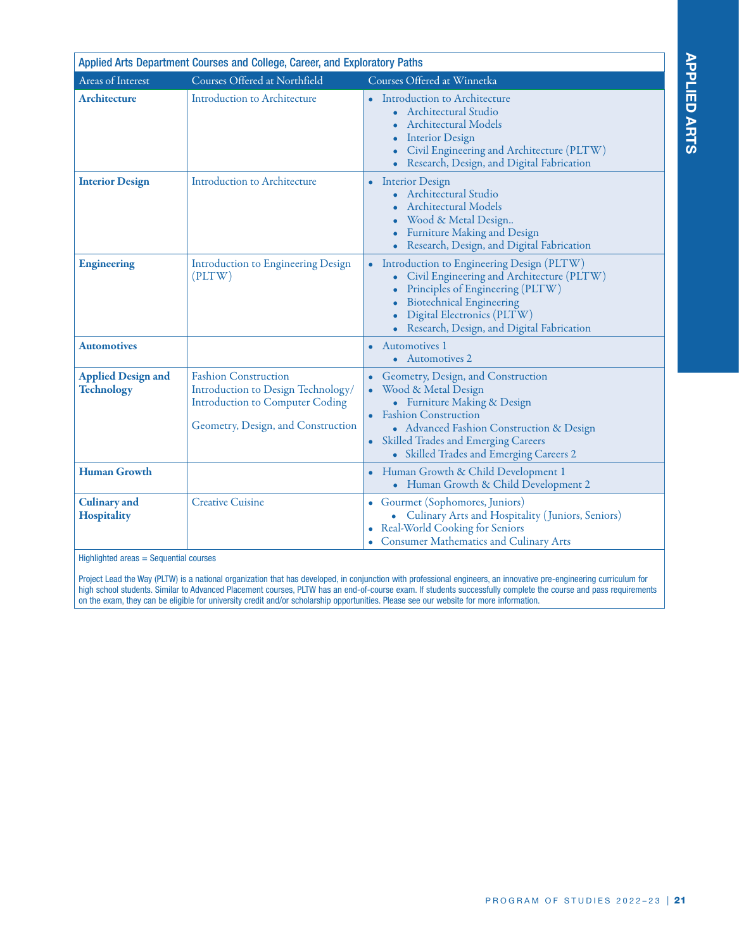| Applied Arts Department Courses and College, Career, and Exploratory Paths |                                                                                                                                                   |                                                                                                                                                                                                                                                                    |  |  |
|----------------------------------------------------------------------------|---------------------------------------------------------------------------------------------------------------------------------------------------|--------------------------------------------------------------------------------------------------------------------------------------------------------------------------------------------------------------------------------------------------------------------|--|--|
| Areas of Interest                                                          | Courses Offered at Northfield                                                                                                                     | Courses Offered at Winnetka                                                                                                                                                                                                                                        |  |  |
| <b>Architecture</b>                                                        | <b>Introduction to Architecture</b>                                                                                                               | Introduction to Architecture<br>Architectural Studio<br><b>Architectural Models</b><br><b>Interior Design</b><br>Civil Engineering and Architecture (PLTW)<br>Research, Design, and Digital Fabrication                                                            |  |  |
| <b>Interior Design</b>                                                     | <b>Introduction to Architecture</b>                                                                                                               | <b>Interior Design</b><br>$\bullet$<br><b>Architectural Studio</b><br><b>Architectural Models</b><br>Wood & Metal Design<br><b>Furniture Making and Design</b><br>• Research, Design, and Digital Fabrication                                                      |  |  |
| <b>Engineering</b>                                                         | Introduction to Engineering Design<br>(PLTW)                                                                                                      | Introduction to Engineering Design (PLTW)<br>$\bullet$<br>Civil Engineering and Architecture (PLTW)<br>Principles of Engineering (PLTW)<br><b>Biotechnical Engineering</b><br>Digital Electronics (PLTW)<br>Research, Design, and Digital Fabrication              |  |  |
| <b>Automotives</b>                                                         |                                                                                                                                                   | <b>Automotives 1</b><br>• Automotives 2                                                                                                                                                                                                                            |  |  |
| <b>Applied Design and</b><br><b>Technology</b>                             | <b>Fashion Construction</b><br>Introduction to Design Technology/<br><b>Introduction to Computer Coding</b><br>Geometry, Design, and Construction | Geometry, Design, and Construction<br>Wood & Metal Design<br>• Furniture Making & Design<br><b>Fashion Construction</b><br>• Advanced Fashion Construction & Design<br>Skilled Trades and Emerging Careers<br>$\bullet$<br>• Skilled Trades and Emerging Careers 2 |  |  |
| <b>Human Growth</b>                                                        |                                                                                                                                                   | Human Growth & Child Development 1<br>• Human Growth & Child Development 2                                                                                                                                                                                         |  |  |
| <b>Culinary</b> and<br><b>Hospitality</b>                                  | <b>Creative Cuisine</b>                                                                                                                           | Gourmet (Sophomores, Juniors)<br>• Culinary Arts and Hospitality (Juniors, Seniors)<br>Real-World Cooking for Seniors<br><b>Consumer Mathematics and Culinary Arts</b>                                                                                             |  |  |

Highlighted areas = Sequential courses

Project Lead the Way (PLTW) is a national organization that has developed, in conjunction with professional engineers, an innovative pre-engineering curriculum for high school students. Similar to Advanced Placement courses, PLTW has an end-of-course exam. If students successfully complete the course and pass requirements on the exam, they can be eligible for university credit and/or scholarship opportunities. Please see our website for more information.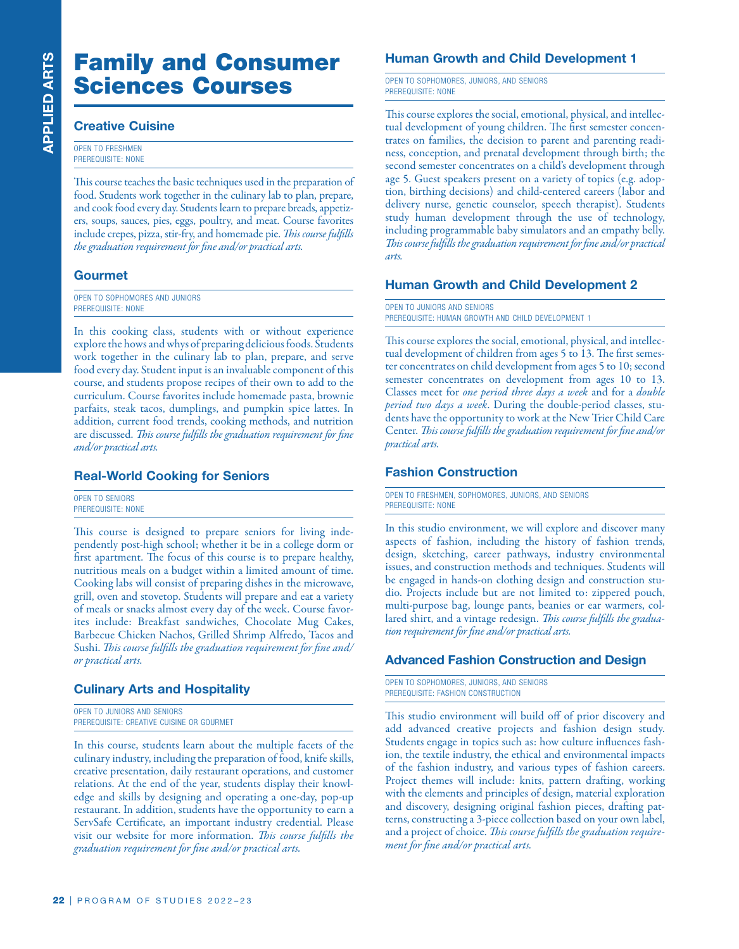# Family and Consumer Sciences Courses

#### **Creative Cuisine**

OPEN TO FRESHMEN PREREQUISITE: NONE

This course teaches the basic techniques used in the preparation of food. Students work together in the culinary lab to plan, prepare, and cook food every day. Students learn to prepare breads, appetizers, soups, sauces, pies, eggs, poultry, and meat. Course favorites include crepes, pizza, stir-fry, and homemade pie. *This course fulfills the graduation requirement for fine and/or practical arts.*

#### **Gourmet**

OPEN TO SOPHOMORES AND JUNIORS PREREQUISITE: NONE

In this cooking class, students with or without experience explore the hows and whys of preparing delicious foods. Students work together in the culinary lab to plan, prepare, and serve food every day. Student input is an invaluable component of this course, and students propose recipes of their own to add to the curriculum. Course favorites include homemade pasta, brownie parfaits, steak tacos, dumplings, and pumpkin spice lattes. In addition, current food trends, cooking methods, and nutrition are discussed. *This course fulfills the graduation requirement for fine and/or practical arts.*

#### **Real-World Cooking for Seniors**

OPEN TO SENIORS PREREQUISITE: NONE

**Example 18 Consumers and Consumers and Consumers (The Consumers and cook food exercises the basic echangings and cook food exercises the basic echanging and cook food every day. Students learn to example, success, pieza,** This course is designed to prepare seniors for living independently post-high school; whether it be in a college dorm or first apartment. The focus of this course is to prepare healthy, nutritious meals on a budget within a limited amount of time. Cooking labs will consist of preparing dishes in the microwave, grill, oven and stovetop. Students will prepare and eat a variety of meals or snacks almost every day of the week. Course favorites include: Breakfast sandwiches, Chocolate Mug Cakes, Barbecue Chicken Nachos, Grilled Shrimp Alfredo, Tacos and Sushi. *This course fulfills the graduation requirement for fine and/ or practical arts.*

#### **Culinary Arts and Hospitality**

OPEN TO JUNIORS AND SENIORS PREREQUISITE: CREATIVE CUISINE OR GOURMET

In this course, students learn about the multiple facets of the culinary industry, including the preparation of food, knife skills, creative presentation, daily restaurant operations, and customer relations. At the end of the year, students display their knowledge and skills by designing and operating a one-day, pop-up restaurant. In addition, students have the opportunity to earn a ServSafe Certificate, an important industry credential. Please visit our website for more information. *This course fulfills the graduation requirement for fine and/or practical arts.*

#### **Human Growth and Child Development 1**

OPEN TO SOPHOMORES, JUNIORS, AND SENIORS PREREQUISITE: NONE

This course explores the social, emotional, physical, and intellectual development of young children. The first semester concentrates on families, the decision to parent and parenting readiness, conception, and prenatal development through birth; the second semester concentrates on a child's development through age 5. Guest speakers present on a variety of topics (e.g. adoption, birthing decisions) and child-centered careers (labor and delivery nurse, genetic counselor, speech therapist). Students study human development through the use of technology, including programmable baby simulators and an empathy belly. *This course fulfills the graduation requirement for fine and/or practical arts.*

#### **Human Growth and Child Development 2**

OPEN TO JUNIORS AND SENIORS PREREQUISITE: HUMAN GROWTH AND CHILD DEVELOPMENT 1

This course explores the social, emotional, physical, and intellectual development of children from ages 5 to 13. The first semester concentrates on child development from ages 5 to 10; second semester concentrates on development from ages 10 to 13. Classes meet for *one period three days a week* and for a *double period two days a week*. During the double-period classes, students have the opportunity to work at the New Trier Child Care Center. *This course fulfills the graduation requirement for fine and/or practical arts.*

#### **Fashion Construction**

OPEN TO FRESHMEN, SOPHOMORES, JUNIORS, AND SENIORS PREREQUISITE: NONE

In this studio environment, we will explore and discover many aspects of fashion, including the history of fashion trends, design, sketching, career pathways, industry environmental issues, and construction methods and techniques. Students will be engaged in hands-on clothing design and construction studio. Projects include but are not limited to: zippered pouch, multi-purpose bag, lounge pants, beanies or ear warmers, collared shirt, and a vintage redesign. *This course fulfills the graduation requirement for fine and/or practical arts.*

#### **Advanced Fashion Construction and Design**

OPEN TO SOPHOMORES, JUNIORS, AND SENIORS PREREQUISITE: FASHION CONSTRUCTION

This studio environment will build off of prior discovery and add advanced creative projects and fashion design study. Students engage in topics such as: how culture influences fashion, the textile industry, the ethical and environmental impacts of the fashion industry, and various types of fashion careers. Project themes will include: knits, pattern drafting, working with the elements and principles of design, material exploration and discovery, designing original fashion pieces, drafting patterns, constructing a 3-piece collection based on your own label, and a project of choice. *This course fulfills the graduation requirement for fine and/or practical arts.*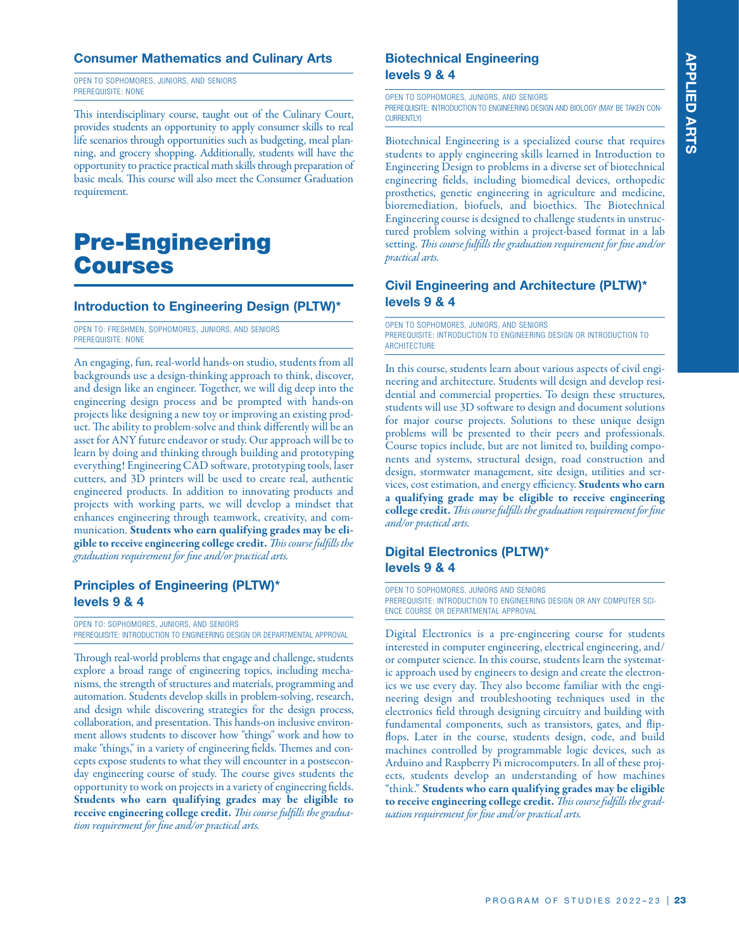#### **Consumer Mathematics and Culinary Arts**

OPEN TO SOPHOMORES, JUNIORS, AND SENIORS PREREQUISITE: NONE

This interdisciplinary course, taught out of the Culinary Court, provides students an opportunity to apply consumer skills to real life scenarios through opportunities such as budgeting, meal planning, and grocery shopping. Additionally, students will have the opportunity to practice practical math skills through preparation of basic meals. This course will also meet the Consumer Graduation requirement.

### Pre-Engineering Courses

#### **Introduction to Engineering Design (PLTW)\***

OPEN TO: FRESHMEN, SOPHOMORES, JUNIORS, AND SENIORS PREREQUISITE: NONE

An engaging, fun, real-world hands-on studio, students from all backgrounds use a design-thinking approach to think, discover, and design like an engineer. Together, we will dig deep into the engineering design process and be prompted with hands-on projects like designing a new toy or improving an existing product. The ability to problem-solve and think differently will be an asset for ANY future endeavor or study. Our approach will be to learn by doing and thinking through building and prototyping everything! Engineering CAD software, prototyping tools, laser cutters, and 3D printers will be used to create real, authentic engineered products. In addition to innovating products and projects with working parts, we will develop a mindset that enhances engineering through teamwork, creativity, and communication. Students who earn qualifying grades may be eligible to receive engineering college credit. *This course fulfills the graduation requirement for fine and/or practical arts.*

#### **Principles of Engineering (PLTW)\* levels 9 & 4**

OPEN TO: SOPHOMORES, JUNIORS, AND SENIORS PREREQUISITE: INTRODUCTION TO ENGINEERING DESIGN OR DEPARTMENTAL APPROVAL

Through real-world problems that engage and challenge, students explore a broad range of engineering topics, including mechanisms, the strength of structures and materials, programming and automation. Students develop skills in problem-solving, research, and design while discovering strategies for the design process, collaboration, and presentation. This hands-on inclusive environment allows students to discover how "things" work and how to make "things," in a variety of engineering fields. Themes and concepts expose students to what they will encounter in a postseconday engineering course of study. The course gives students the opportunity to work on projects in a variety of engineering fields. Students who earn qualifying grades may be eligible to receive engineering college credit. *This course fulfills the graduation requirement for fine and/or practical arts.*

#### **Biotechnical Engineering levels 9 & 4**

OPEN TO SOPHOMORES, JUNIORS, AND SENIORS PREREQUISITE: INTRODUCTION TO ENGINEERING DESIGN AND BIOLOGY (MAY BE TAKEN CON-CURRENTLY)

Biotechnical Engineering is a specialized course that requires students to apply engineering skills learned in Introduction to Engineering Design to problems in a diverse set of biotechnical engineering fields, including biomedical devices, orthopedic prosthetics, genetic engineering in agriculture and medicine, bioremediation, biofuels, and bioethics. The Biotechnical Engineering course is designed to challenge students in unstructured problem solving within a project-based format in a lab setting. *This course fulfills the graduation requirement for fine and/or practical arts.*

#### **Civil Engineering and Architecture (PLTW)\* levels 9 & 4**

OPEN TO SOPHOMORES, JUNIORS, AND SENIORS PREREQUISITE: INTRODUCTION TO ENGINEERING DESIGN OR INTRODUCTION TO **ARCHITECTURE** 

In this course, students learn about various aspects of civil engineering and architecture. Students will design and develop residential and commercial properties. To design these structures, students will use 3D software to design and document solutions for major course projects. Solutions to these unique design problems will be presented to their peers and professionals. Course topics include, but are not limited to, building components and systems, structural design, road construction and design, stormwater management, site design, utilities and services, cost estimation, and energy efficiency. Students who earn a qualifying grade may be eligible to receive engineering college credit. *This course fulfills the graduation requirement for fine and/or practical arts.*

#### **Digital Electronics (PLTW)\* levels 9 & 4**

OPEN TO SOPHOMORES, JUNIORS AND SENIORS PREREQUISITE: INTRODUCTION TO ENGINEERING DESIGN OR ANY COMPUTER SCI-ENCE COURSE OR DEPARTMENTAL APPROVAL

Digital Electronics is a pre-engineering course for students interested in computer engineering, electrical engineering, and/ or computer science. In this course, students learn the systematic approach used by engineers to design and create the electronics we use every day. They also become familiar with the engineering design and troubleshooting techniques used in the electronics field through designing circuitry and building with fundamental components, such as transistors, gates, and flipflops. Later in the course, students design, code, and build machines controlled by programmable logic devices, such as Arduino and Raspberry Pi microcomputers. In all of these projects, students develop an understanding of how machines "think." Students who earn qualifying grades may be eligible to receive engineering college credit. *This course fulfills the graduation requirement for fine and/or practical arts.*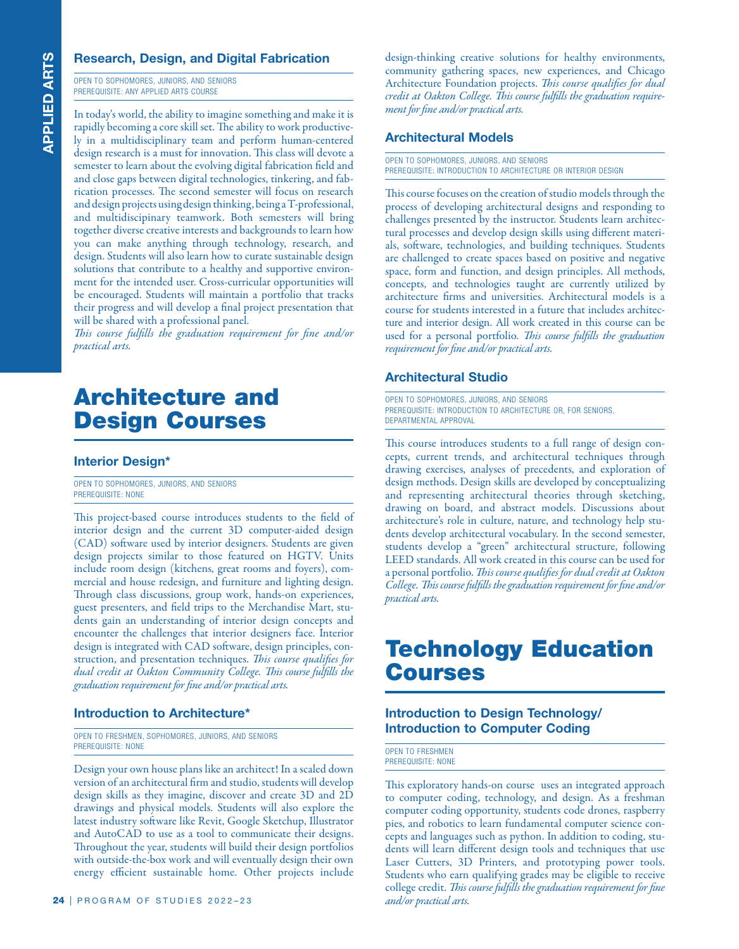#### **Research, Design, and Digital Fabrication**

OPEN TO SOPHOMORES, JUNIORS, AND SENIORS PREREQUISITE: ANY APPLIED ARTS COURSE

**EXERCT: A CONSTRANT CONSTRANT CONSTRANT CONSTRANT CONSTRANT CONSTRANT CONSTRANT CONSTRANT CONSTRANT CONSTRANT CONSTRANT CONSTRANT CONSTRANT CONSTRANT CONSTRANT CONSTRANT CONSTRANT CONSTRANT CONSTRANT CONSTRANT CONSTRANT C** In today's world, the ability to imagine something and make it is rapidly becoming a core skill set. The ability to work productively in a multidisciplinary team and perform human-centered design research is a must for innovation. This class will devote a semester to learn about the evolving digital fabrication field and and close gaps between digital technologies, tinkering, and fabrication processes. The second semester will focus on research and design projects using design thinking, being a T-professional, and multidiscipinary teamwork. Both semesters will bring together diverse creative interests and backgrounds to learn how you can make anything through technology, research, and design. Students will also learn how to curate sustainable design solutions that contribute to a healthy and supportive environment for the intended user. Cross-curricular opportunities will be encouraged. Students will maintain a portfolio that tracks their progress and will develop a final project presentation that will be shared with a professional panel.

*This course fulfills the graduation requirement for fine and/or practical arts.* 

# Architecture and Design Courses

#### **Interior Design\***

OPEN TO SOPHOMORES, JUNIORS, AND SENIORS PREREQUISITE: NONE

This project-based course introduces students to the field of interior design and the current 3D computer-aided design (CAD) software used by interior designers. Students are given design projects similar to those featured on HGTV. Units include room design (kitchens, great rooms and foyers), commercial and house redesign, and furniture and lighting design. Through class discussions, group work, hands-on experiences, guest presenters, and field trips to the Merchandise Mart, students gain an understanding of interior design concepts and encounter the challenges that interior designers face. Interior design is integrated with CAD software, design principles, construction, and presentation techniques. *This course qualifies for dual credit at Oakton Community College. This course fulfills the graduation requirement for fine and/or practical arts.* 

#### **Introduction to Architecture\***

OPEN TO FRESHMEN, SOPHOMORES, JUNIORS, AND SENIORS PREREQUISITE: NONE

Design your own house plans like an architect! In a scaled down version of an architectural firm and studio, students will develop design skills as they imagine, discover and create 3D and 2D drawings and physical models. Students will also explore the latest industry software like Revit, Google Sketchup, Illustrator and AutoCAD to use as a tool to communicate their designs. Throughout the year, students will build their design portfolios with outside-the-box work and will eventually design their own energy efficient sustainable home. Other projects include design-thinking creative solutions for healthy environments, community gathering spaces, new experiences, and Chicago Architecture Foundation projects. *This course qualifies for dual credit at Oakton College. This course fulfills the graduation requirement for fine and/or practical arts.*

#### **Architectural Models**

OPEN TO SOPHOMORES, JUNIORS, AND SENIORS PREREQUISITE: INTRODUCTION TO ARCHITECTURE OR INTERIOR DESIGN

This course focuses on the creation of studio models through the process of developing architectural designs and responding to challenges presented by the instructor. Students learn architectural processes and develop design skills using different materials, software, technologies, and building techniques. Students are challenged to create spaces based on positive and negative space, form and function, and design principles. All methods, concepts, and technologies taught are currently utilized by architecture firms and universities. Architectural models is a course for students interested in a future that includes architecture and interior design. All work created in this course can be used for a personal portfolio. *This course fulfills the graduation requirement for fine and/or practical arts.*

#### **Architectural Studio**

OPEN TO SOPHOMORES, JUNIORS, AND SENIORS PREREQUISITE: INTRODUCTION TO ARCHITECTURE OR, FOR SENIORS, DEPARTMENTAL APPROVAL

This course introduces students to a full range of design concepts, current trends, and architectural techniques through drawing exercises, analyses of precedents, and exploration of design methods. Design skills are developed by conceptualizing and representing architectural theories through sketching, drawing on board, and abstract models. Discussions about architecture's role in culture, nature, and technology help students develop architectural vocabulary. In the second semester, students develop a "green" architectural structure, following LEED standards. All work created in this course can be used for a personal portfolio. *This course qualifies for dual credit at Oakton College. This course fulfills the graduation requirement for fine and/or practical arts.*

## Technology Education Courses

#### **Introduction to Design Technology/ Introduction to Computer Coding**

OPEN TO FRESHMEN PREREQUISITE: NONE

This exploratory hands-on course uses an integrated approach to computer coding, technology, and design. As a freshman computer coding opportunity, students code drones, raspberry pies, and robotics to learn fundamental computer science concepts and languages such as python. In addition to coding, students will learn different design tools and techniques that use Laser Cutters, 3D Printers, and prototyping power tools. Students who earn qualifying grades may be eligible to receive college credit. *This course fulfills the graduation requirement for fine and/or practical arts.*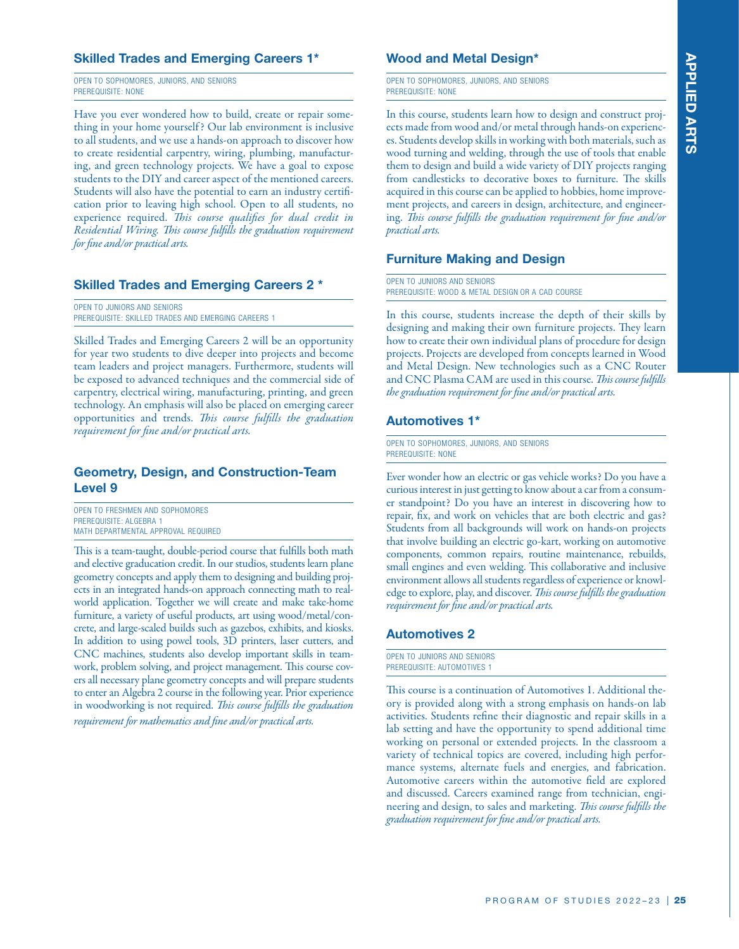# **APPLIED ARTS APPLIED ARTS**

#### **Skilled Trades and Emerging Careers 1\***

OPEN TO SOPHOMORES, JUNIORS, AND SENIORS PREREQUISITE: NONE

Have you ever wondered how to build, create or repair something in your home yourself ? Our lab environment is inclusive to all students, and we use a hands-on approach to discover how to create residential carpentry, wiring, plumbing, manufacturing, and green technology projects. We have a goal to expose students to the DIY and career aspect of the mentioned careers. Students will also have the potential to earn an industry certification prior to leaving high school. Open to all students, no experience required. *This course qualifies for dual credit in Residential Wiring. This course fulfills the graduation requirement for fine and/or practical arts.*

#### **Skilled Trades and Emerging Careers 2 \***

OPEN TO JUNIORS AND SENIORS PREREQUISITE: SKILLED TRADES AND EMERGING CAREERS 1

Skilled Trades and Emerging Careers 2 will be an opportunity for year two students to dive deeper into projects and become team leaders and project managers. Furthermore, students will be exposed to advanced techniques and the commercial side of carpentry, electrical wiring, manufacturing, printing, and green technology. An emphasis will also be placed on emerging career opportunities and trends. *This course fulfills the graduation requirement for fine and/or practical arts.*

#### **Geometry, Design, and Construction-Team Level 9**

OPEN TO FRESHMEN AND SOPHOMORES PREREQUISITE: ALGEBRA 1 MATH DEPARTMENTAL APPROVAL REQUIRED

This is a team-taught, double-period course that fulfills both math and elective graducation credit. In our studios, students learn plane geometry concepts and apply them to designing and building projects in an integrated hands-on approach connecting math to realworld application. Together we will create and make take-home furniture, a variety of useful products, art using wood/metal/concrete, and large-scaled builds such as gazebos, exhibits, and kiosks. In addition to using powel tools, 3D printers, laser cutters, and CNC machines, students also develop important skills in teamwork, problem solving, and project management. This course covers all necessary plane geometry concepts and will prepare students to enter an Algebra 2 course in the following year. Prior experience in woodworking is not required. *This course fulfills the graduation requirement for mathematics and fine and/or practical arts.*

#### **Wood and Metal Design\***

OPEN TO SOPHOMORES, JUNIORS, AND SENIORS PREREQUISITE: NONE

In this course, students learn how to design and construct projects made from wood and/or metal through hands-on experiences. Students develop skills in working with both materials, such as wood turning and welding, through the use of tools that enable them to design and build a wide variety of DIY projects ranging from candlesticks to decorative boxes to furniture. The skills acquired in this course can be applied to hobbies, home improvement projects, and careers in design, architecture, and engineering. *This course fulfills the graduation requirement for fine and/or practical arts.*

#### **Furniture Making and Design**

OPEN TO JUNIORS AND SENIORS PREREQUISITE: WOOD & METAL DESIGN OR A CAD COURSE

In this course, students increase the depth of their skills by designing and making their own furniture projects. They learn how to create their own individual plans of procedure for design projects. Projects are developed from concepts learned in Wood and Metal Design. New technologies such as a CNC Router and CNC Plasma CAM are used in this course. *This course fulfills the graduation requirement for fine and/or practical arts.*

#### **Automotives 1\***

OPEN TO SOPHOMORES, JUNIORS, AND SENIORS PREREQUISITE: NONE

Ever wonder how an electric or gas vehicle works? Do you have a curious interest in just getting to know about a car from a consumer standpoint? Do you have an interest in discovering how to repair, fix, and work on vehicles that are both electric and gas? Students from all backgrounds will work on hands-on projects that involve building an electric go-kart, working on automotive components, common repairs, routine maintenance, rebuilds, small engines and even welding. This collaborative and inclusive environment allows all students regardless of experience or knowledge to explore, play, and discover. *This course fulfills the graduation requirement for fine and/or practical arts.*

#### **Automotives 2**

| OPEN TO JUNIORS AND SENIORS |  |
|-----------------------------|--|
| PREREQUISITE: AUTOMOTIVES 1 |  |

This course is a continuation of Automotives 1. Additional theory is provided along with a strong emphasis on hands-on lab activities. Students refine their diagnostic and repair skills in a lab setting and have the opportunity to spend additional time working on personal or extended projects. In the classroom a variety of technical topics are covered, including high performance systems, alternate fuels and energies, and fabrication. Automotive careers within the automotive field are explored and discussed. Careers examined range from technician, engineering and design, to sales and marketing. *This course fulfills the graduation requirement for fine and/or practical arts.*